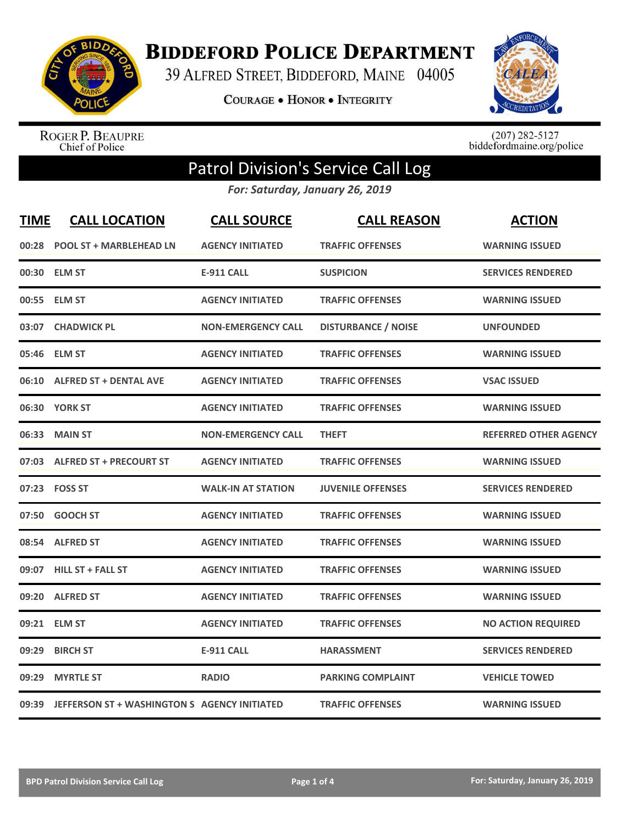

**BIDDEFORD POLICE DEPARTMENT** 

39 ALFRED STREET, BIDDEFORD, MAINE 04005

**COURAGE . HONOR . INTEGRITY** 



ROGER P. BEAUPRE<br>Chief of Police

 $(207)$  282-5127<br>biddefordmaine.org/police

## Patrol Division's Service Call Log

*For: Saturday, January 26, 2019*

| <b>TIME</b> | <b>CALL LOCATION</b>                               | <b>CALL SOURCE</b>        | <b>CALL REASON</b>         | <b>ACTION</b>                |
|-------------|----------------------------------------------------|---------------------------|----------------------------|------------------------------|
| 00:28       | <b>POOL ST + MARBLEHEAD LN</b>                     | <b>AGENCY INITIATED</b>   | <b>TRAFFIC OFFENSES</b>    | <b>WARNING ISSUED</b>        |
|             | 00:30 ELM ST                                       | <b>E-911 CALL</b>         | <b>SUSPICION</b>           | <b>SERVICES RENDERED</b>     |
|             | 00:55 ELM ST                                       | <b>AGENCY INITIATED</b>   | <b>TRAFFIC OFFENSES</b>    | <b>WARNING ISSUED</b>        |
|             | 03:07 CHADWICK PL                                  | <b>NON-EMERGENCY CALL</b> | <b>DISTURBANCE / NOISE</b> | <b>UNFOUNDED</b>             |
|             | 05:46 ELM ST                                       | <b>AGENCY INITIATED</b>   | <b>TRAFFIC OFFENSES</b>    | <b>WARNING ISSUED</b>        |
|             | 06:10 ALFRED ST + DENTAL AVE                       | <b>AGENCY INITIATED</b>   | <b>TRAFFIC OFFENSES</b>    | <b>VSAC ISSUED</b>           |
|             | 06:30 YORK ST                                      | <b>AGENCY INITIATED</b>   | <b>TRAFFIC OFFENSES</b>    | <b>WARNING ISSUED</b>        |
|             | 06:33 MAIN ST                                      | <b>NON-EMERGENCY CALL</b> | <b>THEFT</b>               | <b>REFERRED OTHER AGENCY</b> |
|             | 07:03 ALFRED ST + PRECOURT ST                      | <b>AGENCY INITIATED</b>   | <b>TRAFFIC OFFENSES</b>    | <b>WARNING ISSUED</b>        |
|             | 07:23 FOSS ST                                      | <b>WALK-IN AT STATION</b> | <b>JUVENILE OFFENSES</b>   | <b>SERVICES RENDERED</b>     |
| 07:50       | <b>GOOCH ST</b>                                    | <b>AGENCY INITIATED</b>   | <b>TRAFFIC OFFENSES</b>    | <b>WARNING ISSUED</b>        |
|             | 08:54 ALFRED ST                                    | <b>AGENCY INITIATED</b>   | <b>TRAFFIC OFFENSES</b>    | <b>WARNING ISSUED</b>        |
|             | 09:07 HILL ST + FALL ST                            | <b>AGENCY INITIATED</b>   | <b>TRAFFIC OFFENSES</b>    | <b>WARNING ISSUED</b>        |
| 09:20       | <b>ALFRED ST</b>                                   | <b>AGENCY INITIATED</b>   | <b>TRAFFIC OFFENSES</b>    | <b>WARNING ISSUED</b>        |
| 09:21       | <b>ELM ST</b>                                      | <b>AGENCY INITIATED</b>   | <b>TRAFFIC OFFENSES</b>    | <b>NO ACTION REQUIRED</b>    |
| 09:29       | <b>BIRCH ST</b>                                    | <b>E-911 CALL</b>         | <b>HARASSMENT</b>          | <b>SERVICES RENDERED</b>     |
| 09:29       | <b>MYRTLE ST</b>                                   | <b>RADIO</b>              | <b>PARKING COMPLAINT</b>   | <b>VEHICLE TOWED</b>         |
|             | 09:39 JEFFERSON ST + WASHINGTON S AGENCY INITIATED |                           | <b>TRAFFIC OFFENSES</b>    | <b>WARNING ISSUED</b>        |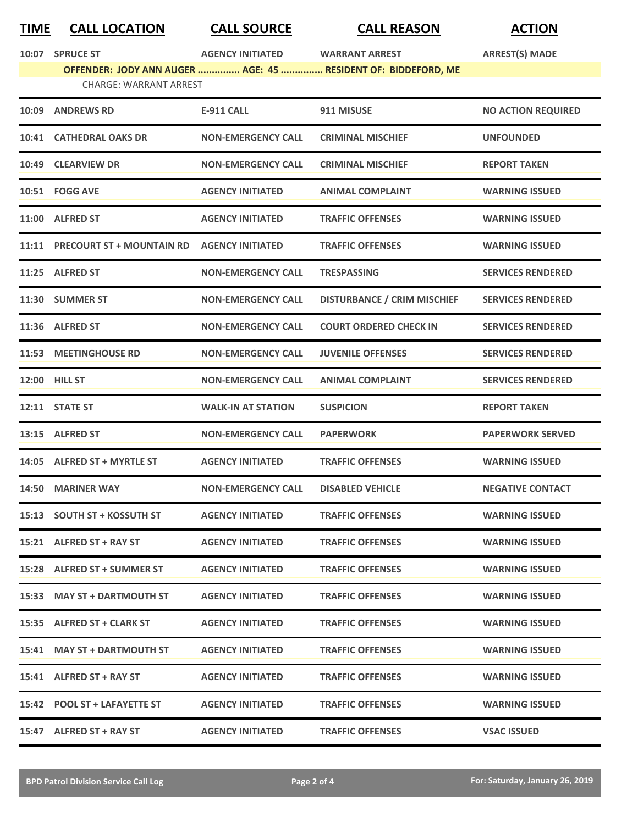## **TIME CALL LOCATION CALL SOURCE CALL REASON ACTION**

|       | 10:07 SPRUCE ST                                                                                | <b>AGENCY INITIATED</b>   | <b>WARRANT ARREST</b>              | <b>ARREST(S) MADE</b>     |  |
|-------|------------------------------------------------------------------------------------------------|---------------------------|------------------------------------|---------------------------|--|
|       | OFFENDER: JODY ANN AUGER  AGE: 45  RESIDENT OF: BIDDEFORD, ME<br><b>CHARGE: WARRANT ARREST</b> |                           |                                    |                           |  |
|       |                                                                                                |                           |                                    |                           |  |
|       | 10:09 ANDREWS RD                                                                               | <b>E-911 CALL</b>         | 911 MISUSE                         | <b>NO ACTION REQUIRED</b> |  |
|       | 10:41 CATHEDRAL OAKS DR                                                                        | <b>NON-EMERGENCY CALL</b> | <b>CRIMINAL MISCHIEF</b>           | <b>UNFOUNDED</b>          |  |
|       | 10:49 CLEARVIEW DR                                                                             | <b>NON-EMERGENCY CALL</b> | <b>CRIMINAL MISCHIEF</b>           | <b>REPORT TAKEN</b>       |  |
|       | 10:51 FOGG AVE                                                                                 | <b>AGENCY INITIATED</b>   | <b>ANIMAL COMPLAINT</b>            | <b>WARNING ISSUED</b>     |  |
|       | 11:00 ALFRED ST                                                                                | <b>AGENCY INITIATED</b>   | <b>TRAFFIC OFFENSES</b>            | <b>WARNING ISSUED</b>     |  |
|       | 11:11 PRECOURT ST + MOUNTAIN RD                                                                | <b>AGENCY INITIATED</b>   | <b>TRAFFIC OFFENSES</b>            | <b>WARNING ISSUED</b>     |  |
|       | 11:25 ALFRED ST                                                                                | <b>NON-EMERGENCY CALL</b> | <b>TRESPASSING</b>                 | <b>SERVICES RENDERED</b>  |  |
|       | 11:30 SUMMER ST                                                                                | <b>NON-EMERGENCY CALL</b> | <b>DISTURBANCE / CRIM MISCHIEF</b> | <b>SERVICES RENDERED</b>  |  |
|       | 11:36 ALFRED ST                                                                                | <b>NON-EMERGENCY CALL</b> | <b>COURT ORDERED CHECK IN</b>      | <b>SERVICES RENDERED</b>  |  |
| 11:53 | <b>MEETINGHOUSE RD</b>                                                                         | <b>NON-EMERGENCY CALL</b> | <b>JUVENILE OFFENSES</b>           | <b>SERVICES RENDERED</b>  |  |
|       | <b>12:00 HILL ST</b>                                                                           | <b>NON-EMERGENCY CALL</b> | <b>ANIMAL COMPLAINT</b>            | <b>SERVICES RENDERED</b>  |  |
|       | 12:11 STATE ST                                                                                 | <b>WALK-IN AT STATION</b> | <b>SUSPICION</b>                   | <b>REPORT TAKEN</b>       |  |
|       | 13:15 ALFRED ST                                                                                | <b>NON-EMERGENCY CALL</b> | <b>PAPERWORK</b>                   | <b>PAPERWORK SERVED</b>   |  |
|       | 14:05 ALFRED ST + MYRTLE ST                                                                    | <b>AGENCY INITIATED</b>   | <b>TRAFFIC OFFENSES</b>            | <b>WARNING ISSUED</b>     |  |
| 14:50 | <b>MARINER WAY</b>                                                                             | <b>NON-EMERGENCY CALL</b> | <b>DISABLED VEHICLE</b>            | <b>NEGATIVE CONTACT</b>   |  |
|       | 15:13 SOUTH ST + KOSSUTH ST                                                                    | <b>AGENCY INITIATED</b>   | <b>TRAFFIC OFFENSES</b>            | <b>WARNING ISSUED</b>     |  |
|       | 15:21 ALFRED ST + RAY ST                                                                       | <b>AGENCY INITIATED</b>   | <b>TRAFFIC OFFENSES</b>            | <b>WARNING ISSUED</b>     |  |
|       | 15:28 ALFRED ST + SUMMER ST                                                                    | <b>AGENCY INITIATED</b>   | <b>TRAFFIC OFFENSES</b>            | <b>WARNING ISSUED</b>     |  |
|       | 15:33 MAY ST + DARTMOUTH ST                                                                    | <b>AGENCY INITIATED</b>   | <b>TRAFFIC OFFENSES</b>            | <b>WARNING ISSUED</b>     |  |
|       | 15:35 ALFRED ST + CLARK ST                                                                     | <b>AGENCY INITIATED</b>   | <b>TRAFFIC OFFENSES</b>            | <b>WARNING ISSUED</b>     |  |
|       | 15:41 MAY ST + DARTMOUTH ST                                                                    | <b>AGENCY INITIATED</b>   | <b>TRAFFIC OFFENSES</b>            | <b>WARNING ISSUED</b>     |  |
|       | 15:41 ALFRED ST + RAY ST                                                                       | <b>AGENCY INITIATED</b>   | <b>TRAFFIC OFFENSES</b>            | <b>WARNING ISSUED</b>     |  |
|       | 15:42 POOL ST + LAFAYETTE ST                                                                   | <b>AGENCY INITIATED</b>   | <b>TRAFFIC OFFENSES</b>            | <b>WARNING ISSUED</b>     |  |
|       | 15:47 ALFRED ST + RAY ST                                                                       | <b>AGENCY INITIATED</b>   | <b>TRAFFIC OFFENSES</b>            | <b>VSAC ISSUED</b>        |  |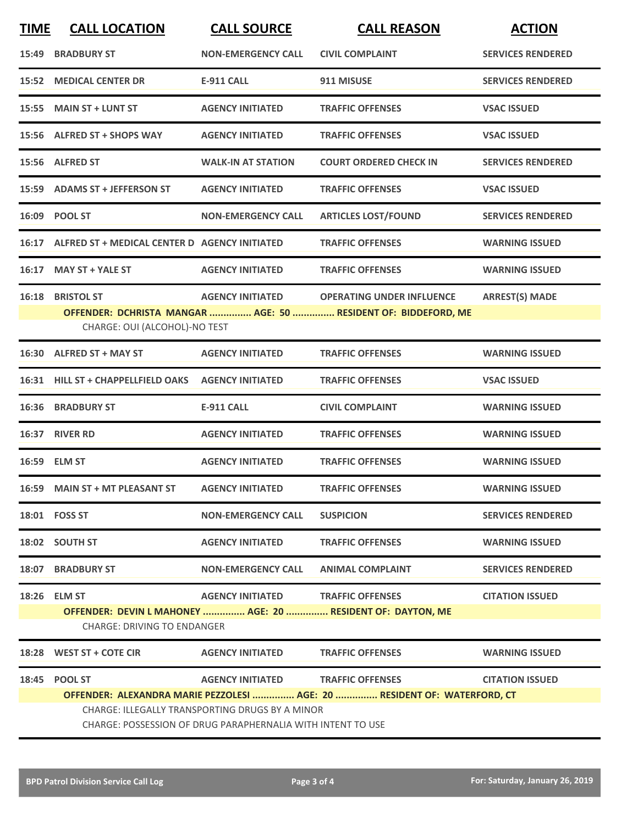| <b>TIME</b> | <b>CALL LOCATION</b>                                                                                           | <b>CALL SOURCE</b>        | <b>CALL REASON</b>                                                       | <b>ACTION</b>            |  |
|-------------|----------------------------------------------------------------------------------------------------------------|---------------------------|--------------------------------------------------------------------------|--------------------------|--|
|             | 15:49 BRADBURY ST                                                                                              | <b>NON-EMERGENCY CALL</b> | <b>CIVIL COMPLAINT</b>                                                   | <b>SERVICES RENDERED</b> |  |
|             | <b>15:52 MEDICAL CENTER DR</b>                                                                                 | <b>E-911 CALL</b>         | 911 MISUSE                                                               | <b>SERVICES RENDERED</b> |  |
|             | 15:55 MAIN ST + LUNT ST                                                                                        | <b>AGENCY INITIATED</b>   | <b>TRAFFIC OFFENSES</b>                                                  | <b>VSAC ISSUED</b>       |  |
|             | 15:56 ALFRED ST + SHOPS WAY                                                                                    | <b>AGENCY INITIATED</b>   | <b>TRAFFIC OFFENSES</b>                                                  | <b>VSAC ISSUED</b>       |  |
|             | 15:56 ALFRED ST                                                                                                | <b>WALK-IN AT STATION</b> | <b>COURT ORDERED CHECK IN</b>                                            | <b>SERVICES RENDERED</b> |  |
|             | 15:59 ADAMS ST + JEFFERSON ST                                                                                  | <b>AGENCY INITIATED</b>   | <b>TRAFFIC OFFENSES</b>                                                  | <b>VSAC ISSUED</b>       |  |
|             | 16:09 POOL ST                                                                                                  | <b>NON-EMERGENCY CALL</b> | <b>ARTICLES LOST/FOUND</b>                                               | <b>SERVICES RENDERED</b> |  |
|             | 16:17 ALFRED ST + MEDICAL CENTER D AGENCY INITIATED                                                            |                           | <b>TRAFFIC OFFENSES</b>                                                  | <b>WARNING ISSUED</b>    |  |
|             | 16:17 MAY ST + YALE ST                                                                                         | <b>AGENCY INITIATED</b>   | <b>TRAFFIC OFFENSES</b>                                                  | <b>WARNING ISSUED</b>    |  |
|             | 16:18 BRISTOL ST                                                                                               |                           | AGENCY INITIATED OPERATING UNDER INFLUENCE                               | <b>ARREST(S) MADE</b>    |  |
|             | CHARGE: OUI (ALCOHOL)-NO TEST                                                                                  |                           | OFFENDER: DCHRISTA MANGAR  AGE: 50  RESIDENT OF: BIDDEFORD, ME           |                          |  |
|             |                                                                                                                | <b>AGENCY INITIATED</b>   |                                                                          | <b>WARNING ISSUED</b>    |  |
|             | 16:30 ALFRED ST + MAY ST                                                                                       |                           | <b>TRAFFIC OFFENSES</b>                                                  |                          |  |
|             | 16:31 HILL ST + CHAPPELLFIELD OAKS AGENCY INITIATED                                                            |                           | <b>TRAFFIC OFFENSES</b>                                                  | <b>VSAC ISSUED</b>       |  |
|             | <b>16:36 BRADBURY ST</b>                                                                                       | <b>E-911 CALL</b>         | <b>CIVIL COMPLAINT</b>                                                   | <b>WARNING ISSUED</b>    |  |
|             | 16:37 RIVER RD                                                                                                 | <b>AGENCY INITIATED</b>   | <b>TRAFFIC OFFENSES</b>                                                  | <b>WARNING ISSUED</b>    |  |
|             | 16:59 ELM ST                                                                                                   | <b>AGENCY INITIATED</b>   | <b>TRAFFIC OFFENSES</b>                                                  | <b>WARNING ISSUED</b>    |  |
|             | 16:59 MAIN ST + MT PLEASANT ST                                                                                 | <b>AGENCY INITIATED</b>   | <b>TRAFFIC OFFENSES</b>                                                  | <b>WARNING ISSUED</b>    |  |
|             | 18:01  FOSS ST                                                                                                 | <b>NON-EMERGENCY CALL</b> | <b>SUSPICION</b>                                                         | <b>SERVICES RENDERED</b> |  |
|             | 18:02 SOUTH ST                                                                                                 | <b>AGENCY INITIATED</b>   | <b>TRAFFIC OFFENSES</b>                                                  | <b>WARNING ISSUED</b>    |  |
|             | <b>18:07 BRADBURY ST</b>                                                                                       | <b>NON-EMERGENCY CALL</b> | <b>ANIMAL COMPLAINT</b>                                                  | <b>SERVICES RENDERED</b> |  |
|             | 18:26 ELM ST                                                                                                   | <b>AGENCY INITIATED</b>   | <b>TRAFFIC OFFENSES</b>                                                  | <b>CITATION ISSUED</b>   |  |
|             | <b>CHARGE: DRIVING TO ENDANGER</b>                                                                             |                           | OFFENDER: DEVIN L MAHONEY  AGE: 20  RESIDENT OF: DAYTON, ME              |                          |  |
|             | 18:28 WEST ST + COTE CIR                                                                                       | <b>AGENCY INITIATED</b>   | <b>TRAFFIC OFFENSES</b>                                                  | <b>WARNING ISSUED</b>    |  |
|             | 18:45 POOL ST                                                                                                  | <b>AGENCY INITIATED</b>   | <b>TRAFFIC OFFENSES</b>                                                  | <b>CITATION ISSUED</b>   |  |
|             |                                                                                                                |                           | OFFENDER: ALEXANDRA MARIE PEZZOLESI  AGE: 20  RESIDENT OF: WATERFORD, CT |                          |  |
|             | CHARGE: ILLEGALLY TRANSPORTING DRUGS BY A MINOR<br>CHARGE: POSSESSION OF DRUG PARAPHERNALIA WITH INTENT TO USE |                           |                                                                          |                          |  |